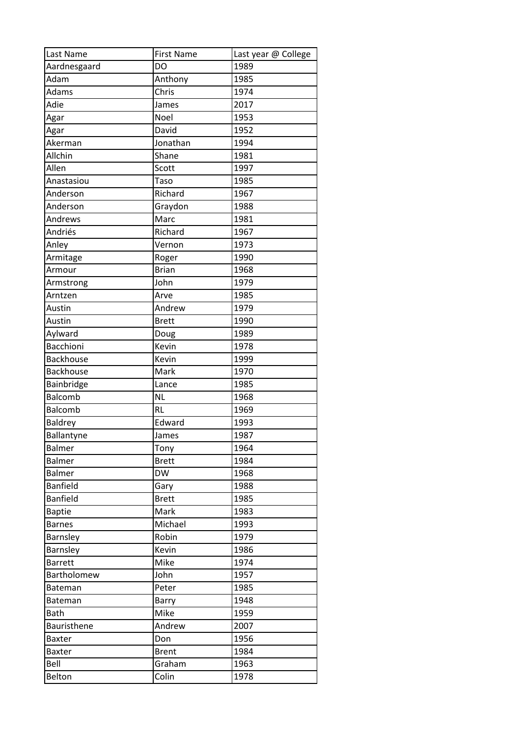| Last Name        | <b>First Name</b> | Last year @ College |
|------------------|-------------------|---------------------|
| Aardnesgaard     | DO                | 1989                |
| Adam             | Anthony           | 1985                |
| Adams            | Chris             | 1974                |
| Adie             | James             | 2017                |
| Agar             | <b>Noel</b>       | 1953                |
| Agar             | David             | 1952                |
| Akerman          | Jonathan          | 1994                |
| Allchin          | Shane             | 1981                |
| Allen            | Scott             | 1997                |
| Anastasiou       | Taso              | 1985                |
| Anderson         | Richard           | 1967                |
| Anderson         | Graydon           | 1988                |
| Andrews          | Marc              | 1981                |
| Andriés          | Richard           | 1967                |
| Anley            | Vernon            | 1973                |
| Armitage         | Roger             | 1990                |
| Armour           | <b>Brian</b>      | 1968                |
| Armstrong        | John              | 1979                |
| Arntzen          | Arve              | 1985                |
| Austin           | Andrew            | 1979                |
| Austin           | <b>Brett</b>      | 1990                |
| Aylward          | Doug              | 1989                |
| <b>Bacchioni</b> | Kevin             | 1978                |
| <b>Backhouse</b> | Kevin             | 1999                |
| <b>Backhouse</b> | Mark              | 1970                |
| Bainbridge       | Lance             | 1985                |
| Balcomb          | <b>NL</b>         | 1968                |
| <b>Balcomb</b>   | <b>RL</b>         | 1969                |
| <b>Baldrey</b>   | Edward            | 1993                |
| Ballantyne       | James             | 1987                |
| <b>Balmer</b>    | Tony              | 1964                |
| Balmer           | <b>Brett</b>      | 1984                |
| Balmer           | <b>DW</b>         | 1968                |
| <b>Banfield</b>  | Gary              | 1988                |
| <b>Banfield</b>  | <b>Brett</b>      | 1985                |
| <b>Baptie</b>    | Mark              | 1983                |
| <b>Barnes</b>    | Michael           | 1993                |
| Barnsley         | Robin             | 1979                |
| Barnsley         | Kevin             | 1986                |
| <b>Barrett</b>   | Mike              | 1974                |
| Bartholomew      | John              | 1957                |
| Bateman          | Peter             | 1985                |
| Bateman          | <b>Barry</b>      | 1948                |
| Bath             | Mike              | 1959                |
| Bauristhene      | Andrew            | 2007                |
| <b>Baxter</b>    | Don               | 1956                |
| <b>Baxter</b>    | <b>Brent</b>      | 1984                |
| Bell             | Graham            | 1963                |
| Belton           | Colin             | 1978                |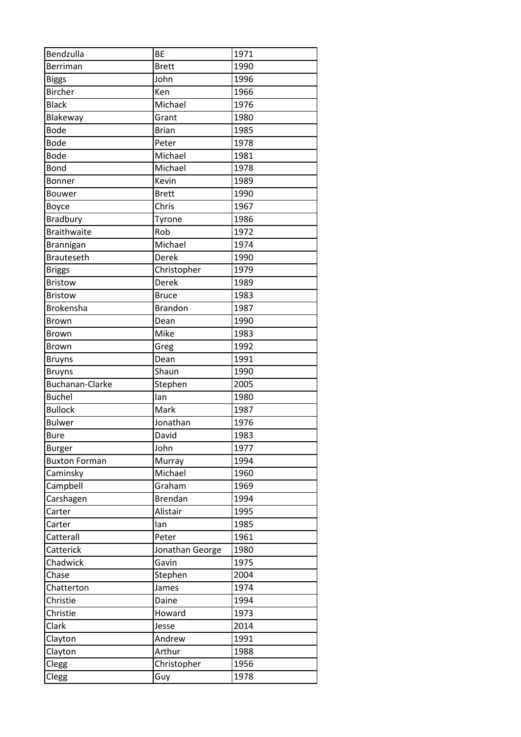| Bendzulla              | <b>BE</b>       | 1971 |
|------------------------|-----------------|------|
| Berriman               | <b>Brett</b>    | 1990 |
| <b>Biggs</b>           | John            | 1996 |
| <b>Bircher</b>         | Ken             | 1966 |
| <b>Black</b>           | Michael         | 1976 |
| Blakeway               | Grant           | 1980 |
| <b>Bode</b>            | <b>Brian</b>    | 1985 |
| <b>Bode</b>            | Peter           | 1978 |
| <b>Bode</b>            | Michael         | 1981 |
| Bond                   | Michael         | 1978 |
| Bonner                 | Kevin           | 1989 |
| Bouwer                 | <b>Brett</b>    | 1990 |
| Boyce                  | Chris           | 1967 |
| Bradbury               | Tyrone          | 1986 |
| <b>Braithwaite</b>     | Rob             | 1972 |
| Brannigan              | Michael         | 1974 |
| <b>Brauteseth</b>      | Derek           | 1990 |
| <b>Briggs</b>          | Christopher     | 1979 |
| <b>Bristow</b>         | Derek           | 1989 |
| <b>Bristow</b>         | <b>Bruce</b>    | 1983 |
| Brokensha              | <b>Brandon</b>  | 1987 |
| Brown                  | Dean            | 1990 |
| Brown                  | Mike            | 1983 |
| Brown                  | Greg            | 1992 |
| <b>Bruyns</b>          | Dean            | 1991 |
| <b>Bruyns</b>          | Shaun           | 1990 |
| <b>Buchanan-Clarke</b> | Stephen         | 2005 |
| <b>Buchel</b>          | lan             | 1980 |
| <b>Bullock</b>         | Mark            | 1987 |
| <b>Bulwer</b>          | Jonathan        | 1976 |
| <b>Bure</b>            | David           | 1983 |
| <b>Burger</b>          | John            | 1977 |
| <b>Buxton Forman</b>   | Murray          | 1994 |
| Caminsky               | Michael         | 1960 |
| Campbell               | Graham          | 1969 |
| Carshagen              | Brendan         | 1994 |
| Carter                 | Alistair        | 1995 |
| Carter                 | lan             | 1985 |
| Catterall              | Peter           | 1961 |
| Catterick              | Jonathan George | 1980 |
| Chadwick               | Gavin           | 1975 |
| Chase                  | Stephen         | 2004 |
| Chatterton             | James           | 1974 |
|                        |                 | 1994 |
| Christie               | Daine           |      |
| Christie               | Howard          | 1973 |
| Clark                  | Jesse           | 2014 |
| Clayton                | Andrew          | 1991 |
| Clayton                | Arthur          | 1988 |
| Clegg                  | Christopher     | 1956 |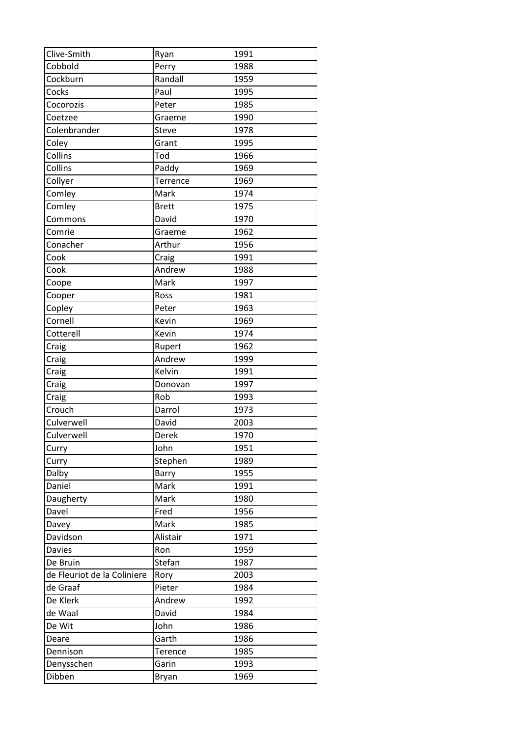| Clive-Smith                 | Ryan         | 1991 |
|-----------------------------|--------------|------|
| Cobbold                     | Perry        | 1988 |
| Cockburn                    | Randall      | 1959 |
| Cocks                       | Paul         | 1995 |
| Cocorozis                   | Peter        | 1985 |
| Coetzee                     | Graeme       | 1990 |
| Colenbrander                | Steve        | 1978 |
| Coley                       | Grant        | 1995 |
| Collins                     | Tod          | 1966 |
| Collins                     | Paddy        | 1969 |
| Collyer                     | Terrence     | 1969 |
| Comley                      | Mark         | 1974 |
| Comley                      | <b>Brett</b> | 1975 |
| Commons                     | David        | 1970 |
| Comrie                      | Graeme       | 1962 |
| Conacher                    | Arthur       | 1956 |
| Cook                        | Craig        | 1991 |
| Cook                        | Andrew       | 1988 |
| Coope                       | Mark         | 1997 |
| Cooper                      | Ross         | 1981 |
| Copley                      | Peter        | 1963 |
| Cornell                     | Kevin        | 1969 |
| Cotterell                   | Kevin        | 1974 |
| Craig                       | Rupert       | 1962 |
| Craig                       | Andrew       | 1999 |
| Craig                       | Kelvin       | 1991 |
| Craig                       | Donovan      | 1997 |
| Craig                       | Rob          | 1993 |
| Crouch                      | Darrol       | 1973 |
| Culverwell                  | David        | 2003 |
| Culverwell                  | Derek        | 1970 |
| Curry                       | John         | 1951 |
| Curry                       | Stephen      | 1989 |
| Dalby                       | Barry        | 1955 |
| Daniel                      | Mark         | 1991 |
| Daugherty                   | Mark         | 1980 |
| Davel                       | Fred         | 1956 |
| Davey                       | Mark         | 1985 |
| Davidson                    | Alistair     | 1971 |
| <b>Davies</b>               | Ron          | 1959 |
| De Bruin                    | Stefan       | 1987 |
| de Fleuriot de la Coliniere | Rory         | 2003 |
| de Graaf                    | Pieter       | 1984 |
| De Klerk                    | Andrew       | 1992 |
| de Waal                     | David        | 1984 |
| De Wit                      | John         | 1986 |
| Deare                       | Garth        | 1986 |
| Dennison                    | Terence      | 1985 |
| Denysschen                  | Garin        | 1993 |
| Dibben                      | Bryan        | 1969 |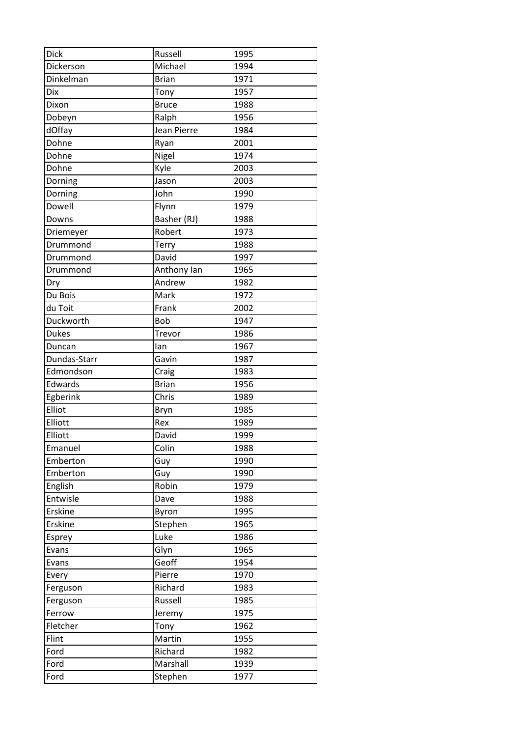| <b>Dick</b>  | Russell      | 1995 |
|--------------|--------------|------|
| Dickerson    | Michael      | 1994 |
| Dinkelman    | <b>Brian</b> | 1971 |
| <b>Dix</b>   | Tony         | 1957 |
| Dixon        | <b>Bruce</b> | 1988 |
| Dobeyn       | Ralph        | 1956 |
| dOffay       | Jean Pierre  | 1984 |
| Dohne        | Ryan         | 2001 |
| Dohne        | Nigel        | 1974 |
| Dohne        | Kyle         | 2003 |
| Dorning      | Jason        | 2003 |
| Dorning      | John         | 1990 |
| Dowell       | Flynn        | 1979 |
| Downs        | Basher (RJ)  | 1988 |
| Driemeyer    | Robert       | 1973 |
| Drummond     | Terry        | 1988 |
| Drummond     | David        | 1997 |
| Drummond     | Anthony Ian  | 1965 |
| Dry          | Andrew       | 1982 |
| Du Bois      | Mark         | 1972 |
| du Toit      | Frank        | 2002 |
| Duckworth    | <b>Bob</b>   | 1947 |
| <b>Dukes</b> | Trevor       | 1986 |
| Duncan       | lan          | 1967 |
| Dundas-Starr | Gavin        | 1987 |
| Edmondson    | Craig        | 1983 |
| Edwards      | <b>Brian</b> | 1956 |
| Egberink     | Chris        | 1989 |
| Elliot       | Bryn         | 1985 |
| Elliott      | Rex          | 1989 |
| Elliott      | David        | 1999 |
| Emanuel      | Colin        | 1988 |
| Emberton     | Guy          | 1990 |
| Emberton     | Guy          | 1990 |
| English      | Robin        | 1979 |
| Entwisle     | Dave         | 1988 |
| Erskine      | Byron        | 1995 |
| Erskine      | Stephen      | 1965 |
| Esprey       | Luke         | 1986 |
| Evans        | Glyn         | 1965 |
| Evans        | Geoff        | 1954 |
| Every        | Pierre       | 1970 |
| Ferguson     | Richard      | 1983 |
| Ferguson     | Russell      | 1985 |
| Ferrow       | Jeremy       | 1975 |
| Fletcher     | Tony         | 1962 |
| Flint        | Martin       | 1955 |
| Ford         | Richard      | 1982 |
|              |              | 1939 |
| Ford         | Marshall     |      |
| Ford         | Stephen      | 1977 |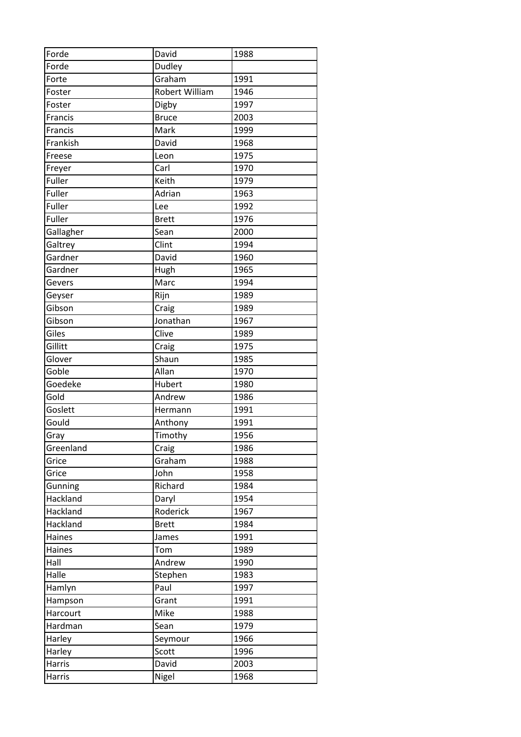| Forde     | David                 | 1988 |
|-----------|-----------------------|------|
| Forde     | Dudley                |      |
| Forte     | Graham                | 1991 |
| Foster    | Robert William        | 1946 |
| Foster    | Digby                 | 1997 |
| Francis   | <b>Bruce</b>          | 2003 |
| Francis   | Mark                  | 1999 |
| Frankish  | David                 | 1968 |
| Freese    | Leon                  | 1975 |
| Freyer    | Carl                  | 1970 |
| Fuller    | Keith                 | 1979 |
| Fuller    | Adrian                | 1963 |
| Fuller    | Lee                   | 1992 |
| Fuller    | <b>Brett</b>          | 1976 |
| Gallagher | Sean                  | 2000 |
| Galtrey   | Clint                 | 1994 |
| Gardner   | David                 | 1960 |
| Gardner   | Hugh                  | 1965 |
| Gevers    | Marc                  | 1994 |
| Geyser    | Rijn                  | 1989 |
| Gibson    | Craig                 | 1989 |
| Gibson    | Jonathan              | 1967 |
| Giles     | Clive                 | 1989 |
| Gillitt   | Craig                 | 1975 |
| Glover    | Shaun                 | 1985 |
| Goble     | Allan                 | 1970 |
| Goedeke   | Hubert                | 1980 |
| Gold      | Andrew                | 1986 |
| Goslett   | Hermann               | 1991 |
| Gould     | Anthony               | 1991 |
| Gray      | $\overline{T}$ imothy | 1956 |
| Greenland | Craig                 | 1986 |
| Grice     | Graham                | 1988 |
| Grice     | John                  | 1958 |
| Gunning   | Richard               | 1984 |
| Hackland  | Daryl                 | 1954 |
| Hackland  | Roderick              | 1967 |
| Hackland  | <b>Brett</b>          | 1984 |
| Haines    | James                 | 1991 |
| Haines    | Tom                   | 1989 |
| Hall      | Andrew                | 1990 |
| Halle     | Stephen               | 1983 |
| Hamlyn    | Paul                  | 1997 |
| Hampson   | Grant                 | 1991 |
| Harcourt  | Mike                  | 1988 |
| Hardman   | Sean                  | 1979 |
| Harley    | Seymour               | 1966 |
| Harley    | Scott                 | 1996 |
| Harris    | David                 | 2003 |
| Harris    | Nigel                 | 1968 |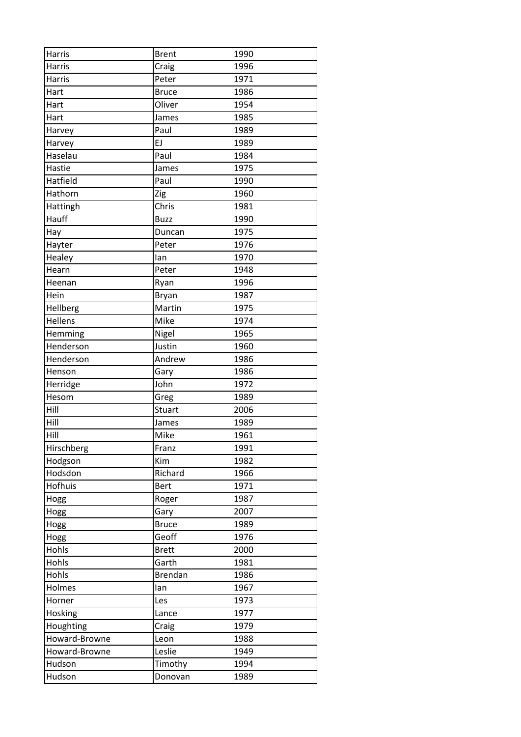| Harris         | <b>Brent</b>   | 1990 |
|----------------|----------------|------|
| Harris         | Craig          | 1996 |
| Harris         | Peter          | 1971 |
| Hart           | <b>Bruce</b>   | 1986 |
| Hart           | Oliver         | 1954 |
| Hart           | James          | 1985 |
| Harvey         | Paul           | 1989 |
| Harvey         | EJ             | 1989 |
| Haselau        | Paul           | 1984 |
| Hastie         | James          | 1975 |
| Hatfield       | Paul           | 1990 |
| Hathorn        | Zig            | 1960 |
| Hattingh       | Chris          | 1981 |
| Hauff          | <b>Buzz</b>    | 1990 |
| Hay            | Duncan         | 1975 |
| Hayter         | Peter          | 1976 |
| Healey         | lan            | 1970 |
| Hearn          | Peter          | 1948 |
| Heenan         | Ryan           | 1996 |
| Hein           | Bryan          | 1987 |
| Hellberg       | Martin         | 1975 |
| Hellens        | Mike           | 1974 |
| Hemming        | Nigel          | 1965 |
| Henderson      | Justin         | 1960 |
| Henderson      | Andrew         | 1986 |
| Henson         | Gary           | 1986 |
| Herridge       | John           | 1972 |
| Hesom          | Greg           | 1989 |
| Hill           | Stuart         | 2006 |
| Hill           | James          | 1989 |
| Hill           | Mike           | 1961 |
| Hirschberg     | Franz          | 1991 |
| Hodgson        | Kim            | 1982 |
| Hodsdon        | Richard        | 1966 |
| <b>Hofhuis</b> | <b>Bert</b>    | 1971 |
| Hogg           | Roger          | 1987 |
| Hogg           | Gary           | 2007 |
| Hogg           | <b>Bruce</b>   | 1989 |
| Hogg           | Geoff          | 1976 |
| Hohls          | <b>Brett</b>   | 2000 |
| Hohls          | Garth          | 1981 |
| Hohls          | <b>Brendan</b> | 1986 |
| Holmes         | lan            | 1967 |
| Horner         | Les            | 1973 |
| Hosking        | Lance          | 1977 |
| Houghting      | Craig          | 1979 |
| Howard-Browne  | Leon           | 1988 |
| Howard-Browne  | Leslie         | 1949 |
| Hudson         | Timothy        | 1994 |
| Hudson         | Donovan        | 1989 |
|                |                |      |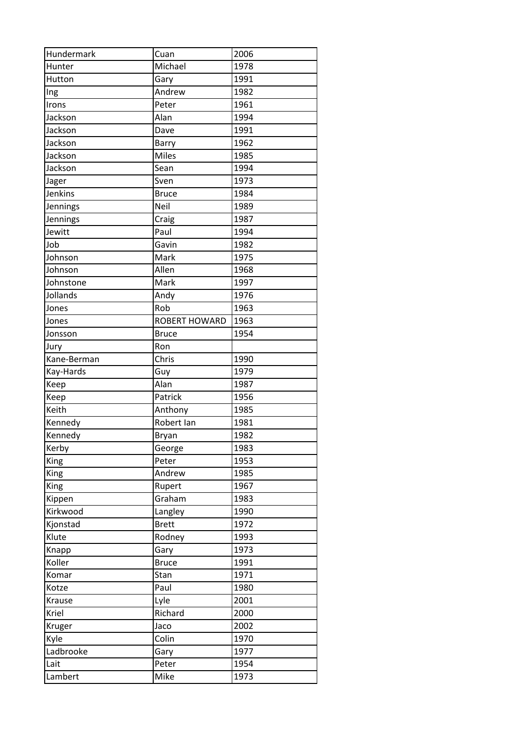| Hundermark      | Cuan            | 2006         |
|-----------------|-----------------|--------------|
| Hunter          | Michael         | 1978         |
| Hutton          | Gary            | 1991         |
| Ing             | Andrew          | 1982         |
| Irons           | Peter           | 1961         |
| Jackson         | Alan            | 1994         |
| Jackson         | Dave            | 1991         |
| Jackson         | Barry           | 1962         |
| Jackson         | <b>Miles</b>    | 1985         |
| Jackson         | Sean            | 1994         |
| Jager           | Sven            | 1973         |
| Jenkins         | <b>Bruce</b>    | 1984         |
| Jennings        | Neil            | 1989         |
| Jennings        | Craig           | 1987         |
| Jewitt          | Paul            | 1994         |
| Job             | Gavin           | 1982         |
| Johnson         | Mark            | 1975         |
| Johnson         | Allen           | 1968         |
| Johnstone       | Mark            | 1997         |
| Jollands        | Andy            | 1976         |
| Jones           | Rob             | 1963         |
| Jones           | ROBERT HOWARD   | 1963         |
| Jonsson         | <b>Bruce</b>    | 1954         |
| Jury            | Ron             |              |
| Kane-Berman     | Chris           | 1990         |
| Kay-Hards       | Guy             | 1979         |
| Keep            | Alan            | 1987         |
| Keep            | Patrick         | 1956         |
| Keith           | Anthony         | 1985         |
| Kennedy         | Robert Ian      | 1981         |
| Kennedy         | Bryan           | 1982         |
| Kerby           | George          | 1983         |
| King            | Peter           | 1953         |
| King            | Andrew          | 1985         |
| King            | Rupert          | 1967         |
| Kippen          | Graham          | 1983         |
| Kirkwood        | Langley         | 1990         |
| Kjonstad        | <b>Brett</b>    | 1972         |
| Klute           | Rodney          | 1993         |
| Knapp           | Gary            | 1973         |
| Koller          | <b>Bruce</b>    | 1991         |
| Komar           | Stan            | 1971         |
|                 |                 |              |
| Kotze           | Paul            | 1980<br>2001 |
| Krause<br>Kriel | Lyle<br>Richard |              |
|                 |                 | 2000         |
| Kruger          | Jaco            | 2002         |
| Kyle            | Colin           | 1970         |
| Ladbrooke       | Gary            | 1977         |
| Lait            | Peter           | 1954         |
| Lambert         | Mike            | 1973         |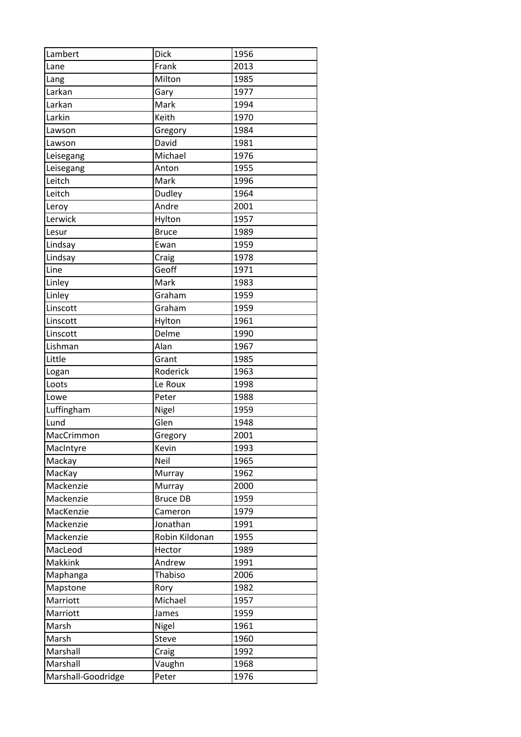| Lambert            | Dick            | 1956 |
|--------------------|-----------------|------|
| Lane               | Frank           | 2013 |
| Lang               | Milton          | 1985 |
| Larkan             | Gary            | 1977 |
| Larkan             | Mark            | 1994 |
| Larkin             | Keith           | 1970 |
| Lawson             | Gregory         | 1984 |
| Lawson             | David           | 1981 |
| Leisegang          | Michael         | 1976 |
| Leisegang          | Anton           | 1955 |
| Leitch             | Mark            | 1996 |
| Leitch             | Dudley          | 1964 |
| Leroy              | Andre           | 2001 |
| Lerwick            | Hylton          | 1957 |
| Lesur              | <b>Bruce</b>    | 1989 |
| Lindsay            | Ewan            | 1959 |
| Lindsay            |                 | 1978 |
| Line               | Craig<br>Geoff  | 1971 |
| Linley             | Mark            | 1983 |
|                    |                 | 1959 |
| Linley             | Graham          |      |
| Linscott           | Graham          | 1959 |
| Linscott           | Hylton          | 1961 |
| Linscott           | Delme           | 1990 |
| Lishman            | Alan            | 1967 |
| Little             | Grant           | 1985 |
| Logan              | Roderick        | 1963 |
| Loots              | Le Roux         | 1998 |
| Lowe               | Peter           | 1988 |
| Luffingham         | Nigel           | 1959 |
| Lund               | Glen            | 1948 |
| MacCrimmon         | Gregory         | 2001 |
| MacIntyre          | Kevin           | 1993 |
| Mackay             | Neil            | 1965 |
| MacKay             | Murray          | 1962 |
| Mackenzie          | Murray          | 2000 |
| Mackenzie          | <b>Bruce DB</b> | 1959 |
| MacKenzie          | Cameron         | 1979 |
| Mackenzie          | Jonathan        | 1991 |
| Mackenzie          | Robin Kildonan  | 1955 |
| MacLeod            | Hector          | 1989 |
| Makkink            | Andrew          | 1991 |
| Maphanga           | Thabiso         | 2006 |
| Mapstone           | Rory            | 1982 |
| Marriott           | Michael         | 1957 |
| Marriott           | James           | 1959 |
| Marsh              | Nigel           | 1961 |
| Marsh              | Steve           | 1960 |
| Marshall           | Craig           | 1992 |
| Marshall           | Vaughn          | 1968 |
| Marshall-Goodridge | Peter           | 1976 |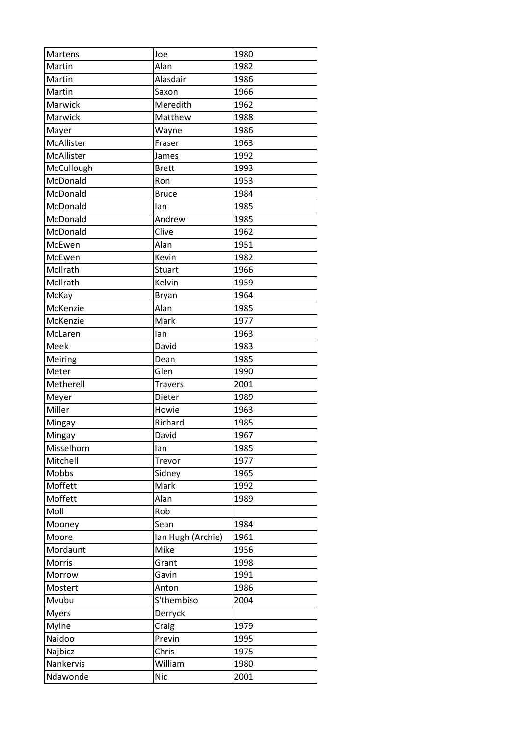| Martens      | Joe               | 1980 |
|--------------|-------------------|------|
| Martin       | Alan              | 1982 |
| Martin       | Alasdair          | 1986 |
| Martin       | Saxon             | 1966 |
| Marwick      | Meredith          | 1962 |
| Marwick      | Matthew           | 1988 |
| Mayer        | Wayne             | 1986 |
| McAllister   | Fraser            | 1963 |
| McAllister   | James             | 1992 |
| McCullough   | <b>Brett</b>      | 1993 |
| McDonald     | Ron               | 1953 |
| McDonald     | <b>Bruce</b>      | 1984 |
| McDonald     | lan               | 1985 |
| McDonald     | Andrew            | 1985 |
| McDonald     | Clive             | 1962 |
| McEwen       | Alan              | 1951 |
| McEwen       | Kevin             | 1982 |
| McIlrath     | Stuart            | 1966 |
| McIlrath     | Kelvin            | 1959 |
| McKay        | Bryan             | 1964 |
| McKenzie     | Alan              | 1985 |
| McKenzie     | Mark              | 1977 |
| McLaren      | lan               | 1963 |
| Meek         | David             | 1983 |
| Meiring      | Dean              | 1985 |
| Meter        | Glen              | 1990 |
| Metherell    | <b>Travers</b>    | 2001 |
| Meyer        | Dieter            | 1989 |
| Miller       | Howie             | 1963 |
| Mingay       | Richard           | 1985 |
| Mingay       | David             | 1967 |
| Misselhorn   | lan               | 1985 |
| Mitchell     | Trevor            | 1977 |
| Mobbs        | Sidney            | 1965 |
| Moffett      | Mark              | 1992 |
| Moffett      | Alan              | 1989 |
| Moll         | Rob               |      |
| Mooney       | Sean              | 1984 |
| Moore        | Ian Hugh (Archie) | 1961 |
| Mordaunt     | Mike              | 1956 |
| Morris       | Grant             | 1998 |
| Morrow       | Gavin             | 1991 |
| Mostert      | Anton             | 1986 |
| Mvubu        | S'thembiso        | 2004 |
| <b>Myers</b> | Derryck           |      |
| Mylne        | Craig             | 1979 |
| Naidoo       | Previn            | 1995 |
| Najbicz      | Chris             | 1975 |
| Nankervis    | William           | 1980 |
| Ndawonde     | <b>Nic</b>        | 2001 |
|              |                   |      |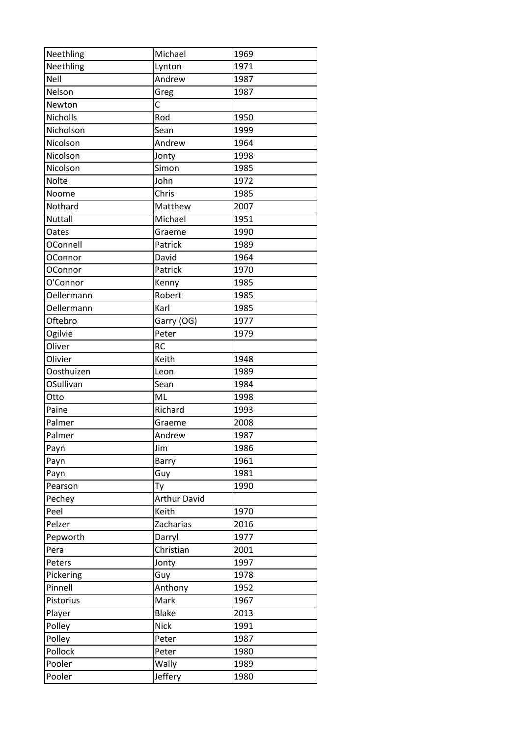| Neethling      | Michael             | 1969 |
|----------------|---------------------|------|
| Neethling      | Lynton              | 1971 |
| Nell           | Andrew              | 1987 |
| Nelson         | Greg                | 1987 |
| Newton         | $\mathsf{C}$        |      |
| Nicholls       | Rod                 | 1950 |
| Nicholson      | Sean                | 1999 |
| Nicolson       | Andrew              | 1964 |
| Nicolson       | Jonty               | 1998 |
| Nicolson       | Simon               | 1985 |
| <b>Nolte</b>   | John                | 1972 |
| Noome          | Chris               | 1985 |
| Nothard        | Matthew             | 2007 |
| Nuttall        | Michael             | 1951 |
| Oates          | Graeme              | 1990 |
| OConnell       | Patrick             | 1989 |
| <b>OConnor</b> | David               | 1964 |
| <b>OConnor</b> | Patrick             | 1970 |
| O'Connor       | Kenny               | 1985 |
| Oellermann     | Robert              | 1985 |
| Oellermann     | Karl                | 1985 |
| Oftebro        | Garry (OG)          | 1977 |
| Ogilvie        | Peter               | 1979 |
| Oliver         | <b>RC</b>           |      |
| Olivier        | Keith               | 1948 |
| Oosthuizen     | Leon                | 1989 |
| OSullivan      | Sean                | 1984 |
| Otto           | ML                  | 1998 |
| Paine          | Richard             | 1993 |
| Palmer         | Graeme              | 2008 |
| Palmer         | Andrew              | 1987 |
| Payn           | Jim                 | 1986 |
| Payn           | Barry               | 1961 |
| Payn           | Guy                 | 1981 |
| Pearson        | Ty                  | 1990 |
| Pechey         | <b>Arthur David</b> |      |
| Peel           | Keith               | 1970 |
| Pelzer         | Zacharias           | 2016 |
| Pepworth       | Darryl              | 1977 |
| Pera           | Christian           | 2001 |
| Peters         | Jonty               | 1997 |
| Pickering      | Guy                 | 1978 |
| Pinnell        | Anthony             | 1952 |
| Pistorius      | Mark                | 1967 |
| Player         | <b>Blake</b>        | 2013 |
| Polley         | <b>Nick</b>         | 1991 |
| Polley         | Peter               | 1987 |
| Pollock        | Peter               | 1980 |
| Pooler         | Wally               | 1989 |
| Pooler         | Jeffery             | 1980 |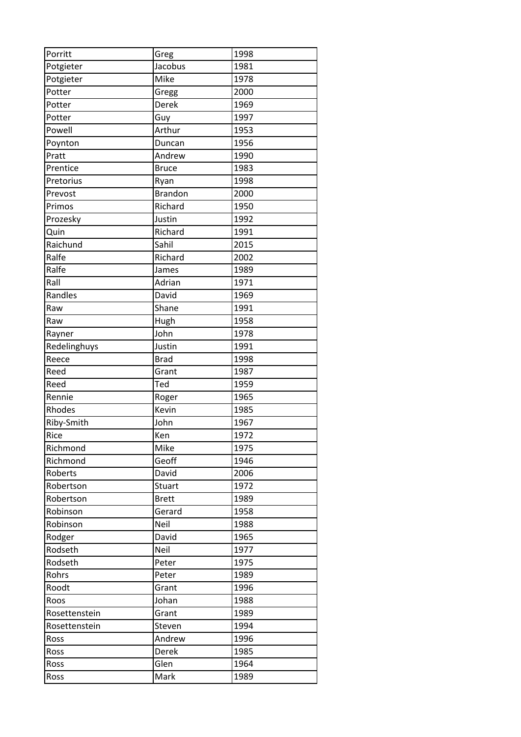| Porritt       | Greg           | 1998 |
|---------------|----------------|------|
| Potgieter     | Jacobus        | 1981 |
| Potgieter     | Mike           | 1978 |
| Potter        | Gregg          | 2000 |
| Potter        | Derek          | 1969 |
| Potter        | Guy            | 1997 |
| Powell        | Arthur         | 1953 |
| Poynton       | Duncan         | 1956 |
| Pratt         | Andrew         | 1990 |
| Prentice      | <b>Bruce</b>   | 1983 |
| Pretorius     | Ryan           | 1998 |
| Prevost       | <b>Brandon</b> | 2000 |
| Primos        | Richard        | 1950 |
| Prozesky      | Justin         | 1992 |
| Quin          | Richard        | 1991 |
| Raichund      | Sahil          | 2015 |
| Ralfe         | Richard        | 2002 |
| Ralfe         | James          | 1989 |
| Rall          | Adrian         | 1971 |
| Randles       | David          | 1969 |
| Raw           | Shane          | 1991 |
| Raw           | Hugh           | 1958 |
| Rayner        | John           | 1978 |
| Redelinghuys  | Justin         | 1991 |
| Reece         | <b>Brad</b>    | 1998 |
| Reed          | Grant          | 1987 |
| Reed          | Ted            | 1959 |
| Rennie        | Roger          | 1965 |
| Rhodes        | Kevin          | 1985 |
| Riby-Smith    | John           | 1967 |
| Rice          | Ken            | 1972 |
| Richmond      | Mike           | 1975 |
| Richmond      | Geoff          | 1946 |
| Roberts       | David          | 2006 |
| Robertson     | <b>Stuart</b>  | 1972 |
| Robertson     | <b>Brett</b>   | 1989 |
| Robinson      | Gerard         | 1958 |
| Robinson      | Neil           | 1988 |
| Rodger        | David          | 1965 |
| Rodseth       | Neil           | 1977 |
| Rodseth       | Peter          | 1975 |
| Rohrs         | Peter          | 1989 |
| Roodt         | Grant          | 1996 |
| Roos          | Johan          | 1988 |
| Rosettenstein | Grant          | 1989 |
| Rosettenstein | Steven         | 1994 |
| Ross          | Andrew         | 1996 |
| Ross          | Derek          | 1985 |
| Ross          | Glen           | 1964 |
|               |                |      |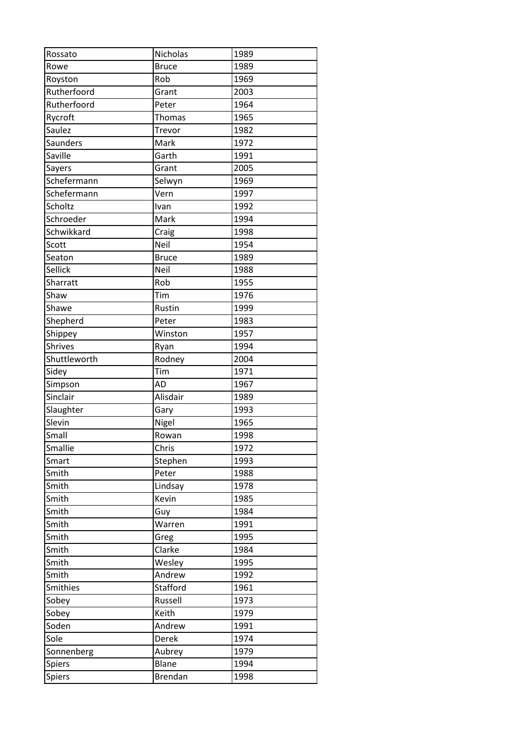| Rossato         | Nicholas       | 1989 |
|-----------------|----------------|------|
| Rowe            | <b>Bruce</b>   | 1989 |
| Royston         | Rob            | 1969 |
| Rutherfoord     | Grant          | 2003 |
| Rutherfoord     | Peter          | 1964 |
| Rycroft         | Thomas         | 1965 |
| Saulez          | Trevor         | 1982 |
| <b>Saunders</b> | Mark           | 1972 |
| Saville         | Garth          | 1991 |
| Sayers          | Grant          | 2005 |
| Schefermann     | Selwyn         | 1969 |
| Schefermann     | Vern           | 1997 |
| Scholtz         | Ivan           | 1992 |
| Schroeder       | Mark           | 1994 |
| Schwikkard      | Craig          | 1998 |
| Scott           | Neil           | 1954 |
| Seaton          | <b>Bruce</b>   | 1989 |
| Sellick         | Neil           | 1988 |
| Sharratt        | Rob            | 1955 |
| Shaw            | Tim            | 1976 |
| Shawe           | Rustin         | 1999 |
| Shepherd        | Peter          | 1983 |
| Shippey         | Winston        | 1957 |
| <b>Shrives</b>  | Ryan           | 1994 |
| Shuttleworth    | Rodney         | 2004 |
| Sidey           | Tim            | 1971 |
| Simpson         | <b>AD</b>      | 1967 |
| Sinclair        | Alisdair       | 1989 |
| Slaughter       | Gary           | 1993 |
| Slevin          | Nigel          | 1965 |
| Small           | Rowan          | 1998 |
| Smallie         | Chris          | 1972 |
| Smart           | Stephen        | 1993 |
| Smith           | Peter          | 1988 |
| Smith           | Lindsay        | 1978 |
| Smith           | Kevin          | 1985 |
| Smith           | Guy            | 1984 |
| Smith           | Warren         | 1991 |
| Smith           | Greg           | 1995 |
| Smith           | Clarke         | 1984 |
| Smith           | Wesley         | 1995 |
| Smith           | Andrew         | 1992 |
| <b>Smithies</b> | Stafford       | 1961 |
| Sobey           | Russell        | 1973 |
| Sobey           | Keith          | 1979 |
| Soden           | Andrew         | 1991 |
| Sole            | Derek          | 1974 |
| Sonnenberg      | Aubrey         | 1979 |
| Spiers          | Blane          | 1994 |
| Spiers          | <b>Brendan</b> | 1998 |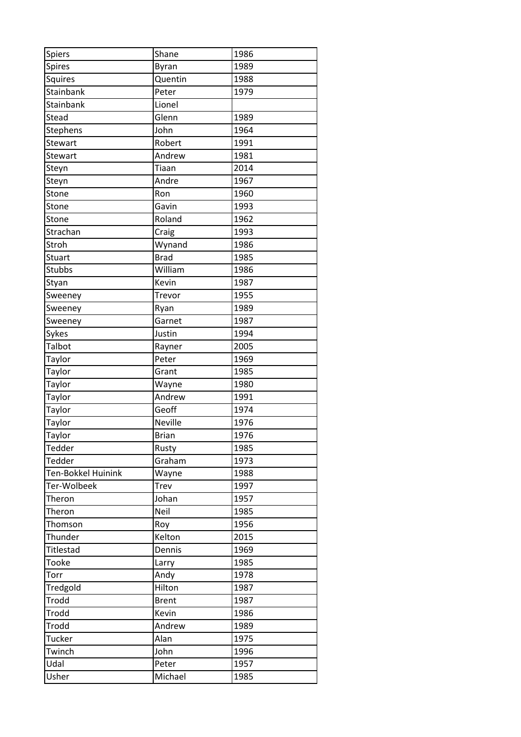| Spiers             | Shane        | 1986 |
|--------------------|--------------|------|
| Spires             | Byran        | 1989 |
| Squires            | Quentin      | 1988 |
| Stainbank          | Peter        | 1979 |
| Stainbank          | Lionel       |      |
| Stead              | Glenn        | 1989 |
| Stephens           | John         | 1964 |
| Stewart            | Robert       | 1991 |
| <b>Stewart</b>     | Andrew       | 1981 |
| Steyn              | Tiaan        | 2014 |
| Steyn              | Andre        | 1967 |
| Stone              | Ron          | 1960 |
| Stone              | Gavin        | 1993 |
| Stone              | Roland       | 1962 |
| Strachan           | Craig        | 1993 |
| Stroh              | Wynand       | 1986 |
| Stuart             | <b>Brad</b>  | 1985 |
| <b>Stubbs</b>      | William      | 1986 |
| Styan              | Kevin        | 1987 |
| Sweeney            | Trevor       | 1955 |
| Sweeney            | Ryan         | 1989 |
| Sweeney            | Garnet       | 1987 |
| Sykes              | Justin       | 1994 |
| Talbot             | Rayner       | 2005 |
| Taylor             | Peter        | 1969 |
| Taylor             | Grant        | 1985 |
| Taylor             | Wayne        | 1980 |
| Taylor             | Andrew       | 1991 |
| Taylor             | Geoff        | 1974 |
| Taylor             | Neville      | 1976 |
| Taylor             | <b>Brian</b> | 1976 |
| Tedder             | Rusty        | 1985 |
| Tedder             | Graham       | 1973 |
| Ten-Bokkel Huinink | Wayne        | 1988 |
| Ter-Wolbeek        | <b>Trev</b>  | 1997 |
| Theron             | Johan        | 1957 |
| Theron             | Neil         | 1985 |
| Thomson            | Roy          | 1956 |
| Thunder            | Kelton       | 2015 |
| <b>Titlestad</b>   | Dennis       | 1969 |
| Tooke              | Larry        | 1985 |
| Torr               | Andy         | 1978 |
| Tredgold           | Hilton       | 1987 |
| Trodd              | <b>Brent</b> | 1987 |
| Trodd              | Kevin        | 1986 |
| Trodd              | Andrew       | 1989 |
| Tucker             | Alan         | 1975 |
| Twinch             | John         | 1996 |
|                    |              |      |
| Udal               | Peter        | 1957 |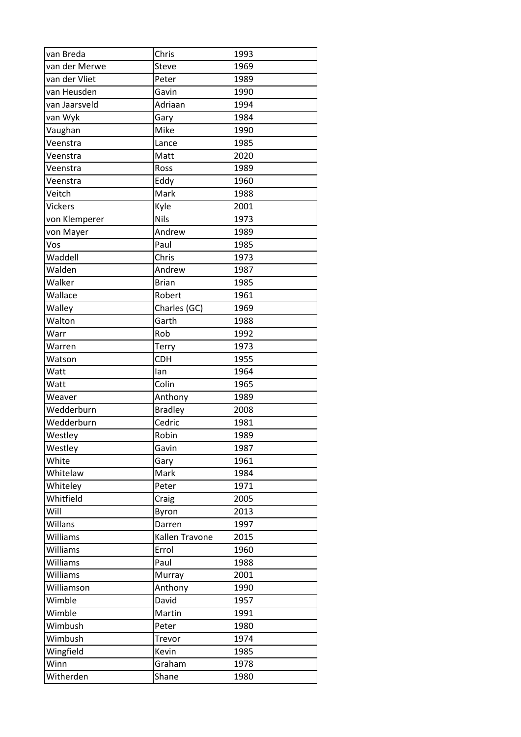| van Breda      | Chris          | 1993 |
|----------------|----------------|------|
| van der Merwe  | Steve          | 1969 |
| van der Vliet  | Peter          | 1989 |
| van Heusden    | Gavin          | 1990 |
| van Jaarsveld  | Adriaan        | 1994 |
| van Wyk        | Gary           | 1984 |
| Vaughan        | Mike           | 1990 |
| Veenstra       | Lance          | 1985 |
| Veenstra       | Matt           | 2020 |
| Veenstra       | Ross           | 1989 |
| Veenstra       | Eddy           | 1960 |
| Veitch         | Mark           | 1988 |
| <b>Vickers</b> | Kyle           | 2001 |
| von Klemperer  | <b>Nils</b>    | 1973 |
| von Mayer      | Andrew         | 1989 |
| Vos            | Paul           | 1985 |
| Waddell        | Chris          | 1973 |
| Walden         | Andrew         | 1987 |
| Walker         | <b>Brian</b>   | 1985 |
| Wallace        | Robert         | 1961 |
| Walley         | Charles (GC)   | 1969 |
| Walton         | Garth          | 1988 |
| Warr           | Rob            | 1992 |
| Warren         | Terry          | 1973 |
| Watson         | <b>CDH</b>     | 1955 |
| Watt           | lan            | 1964 |
| Watt           | Colin          | 1965 |
| Weaver         | Anthony        | 1989 |
| Wedderburn     | <b>Bradley</b> | 2008 |
| Wedderburn     | Cedric         | 1981 |
| Westley        | Robin          | 1989 |
| Westley        | Gavin          | 1987 |
| White          | Gary           | 1961 |
| Whitelaw       | Mark           | 1984 |
| Whiteley       | Peter          | 1971 |
| Whitfield      | Craig          | 2005 |
| Will           | Byron          | 2013 |
| Willans        | Darren         | 1997 |
| Williams       | Kallen Travone | 2015 |
| Williams       | Errol          | 1960 |
| Williams       | Paul           | 1988 |
| Williams       | Murray         | 2001 |
| Williamson     | Anthony        | 1990 |
| Wimble         | David          | 1957 |
| Wimble         | Martin         | 1991 |
| Wimbush        | Peter          | 1980 |
| Wimbush        | Trevor         | 1974 |
| Wingfield      | Kevin          | 1985 |
| Winn           | Graham         | 1978 |
| Witherden      | Shane          | 1980 |